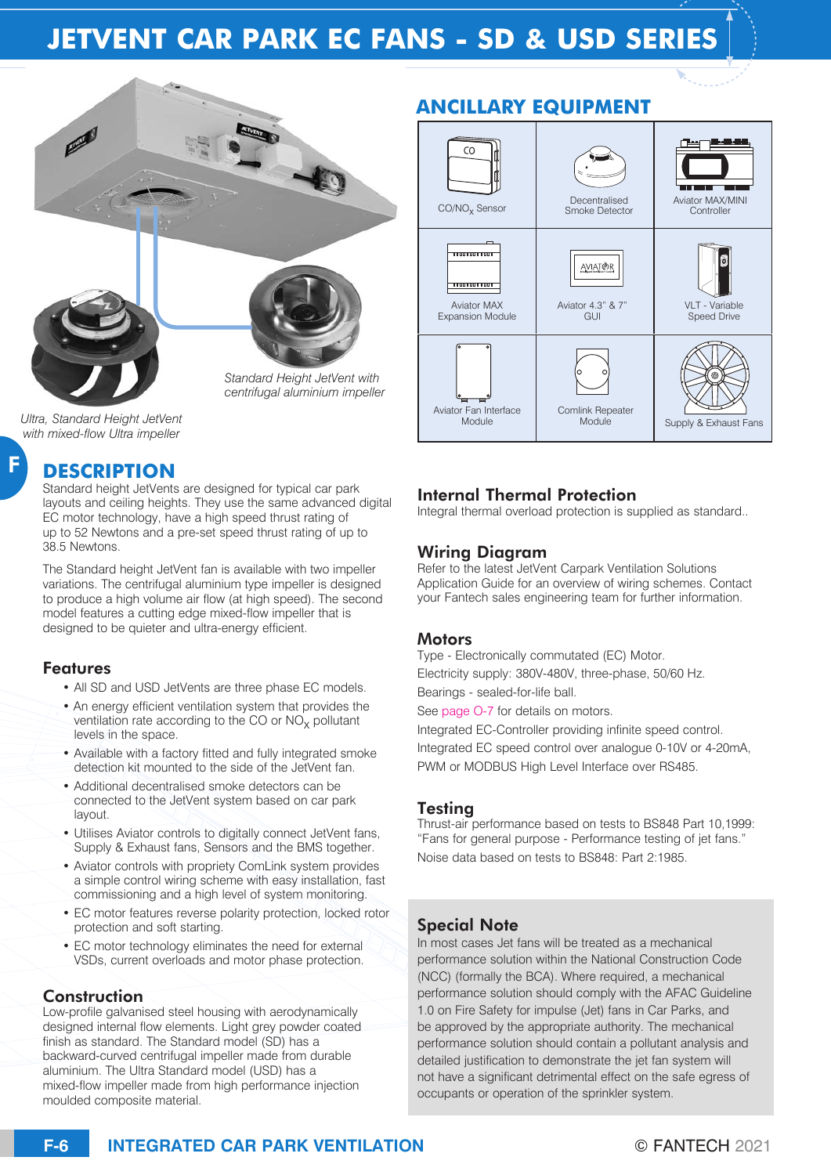# **JETVENT CAR PARK EC FANS - SD & USD SERIES**



*Ultra, Standard Height JetVent with mixed-flow Ultra impeller* 

F

## **DESCRIPTION**

Standard height JetVents are designed for typical car park layouts and ceiling heights. They use the same advanced digital EC motor technology, have a high speed thrust rating of up to 52 Newtons and a pre-set speed thrust rating of up to 38.5 Newtons.

The Standard height JetVent fan is available with two impeller variations. The centrifugal aluminium type impeller is designed to produce a high volume air flow (at high speed). The second model features a cutting edge mixed-flow impeller that is designed to be quieter and ultra-energy efficient.

#### Features

- All SD and USD JetVents are three phase EC models.
- An energy efficient ventilation system that provides the ventilation rate according to the CO or  $NO<sub>x</sub>$  pollutant levels in the space.
- Available with a factory fitted and fully integrated smoke detection kit mounted to the side of the JetVent fan.
- Additional decentralised smoke detectors can be connected to the JetVent system based on car park layout.
- Utilises Aviator controls to digitally connect JetVent fans, Supply & Exhaust fans, Sensors and the BMS together.
- Aviator controls with propriety ComLink system provides a simple control wiring scheme with easy installation, fast commissioning and a high level of system monitoring.
- EC motor features reverse polarity protection, locked rotor protection and soft starting.
- EC motor technology eliminates the need for external VSDs, current overloads and motor phase protection.

### Construction

Low-profile galvanised steel housing with aerodynamically designed internal flow elements. Light grey powder coated finish as standard. The Standard model (SD) has a backward-curved centrifugal impeller made from durable aluminium. The Ultra Standard model (USD) has a mixed-flow impeller made from high performance injection moulded composite material.





## Internal Thermal Protection

Integral thermal overload protection is supplied as standard..

### Wiring Diagram

Refer to the latest JetVent Carpark Ventilation Solutions Application Guide for an overview of wiring schemes. Contact your Fantech sales engineering team for further information.

#### **Motors**

Type - Electronically commutated (EC) Motor. Electricity supply: 380V-480V, three-phase, 50/60 Hz. Bearings - sealed-for-life ball.

See page O-7 for details on motors.

Integrated EC-Controller providing infinite speed control. Integrated EC speed control over analogue 0-10V or 4-20mA, PWM or MODBUS High Level Interface over RS485.

#### Testing

Thrust-air performance based on tests to BS848 Part 10,1999: "Fans for general purpose - Performance testing of jet fans." Noise data based on tests to BS848: Part 2:1985.

## Special Note

In most cases Jet fans will be treated as a mechanical performance solution within the National Construction Code (NCC) (formally the BCA). Where required, a mechanical performance solution should comply with the AFAC Guideline 1.0 on Fire Safety for impulse (Jet) fans in Car Parks, and be approved by the appropriate authority. The mechanical performance solution should contain a pollutant analysis and detailed justification to demonstrate the jet fan system will not have a significant detrimental effect on the safe egress of occupants or operation of the sprinkler system.